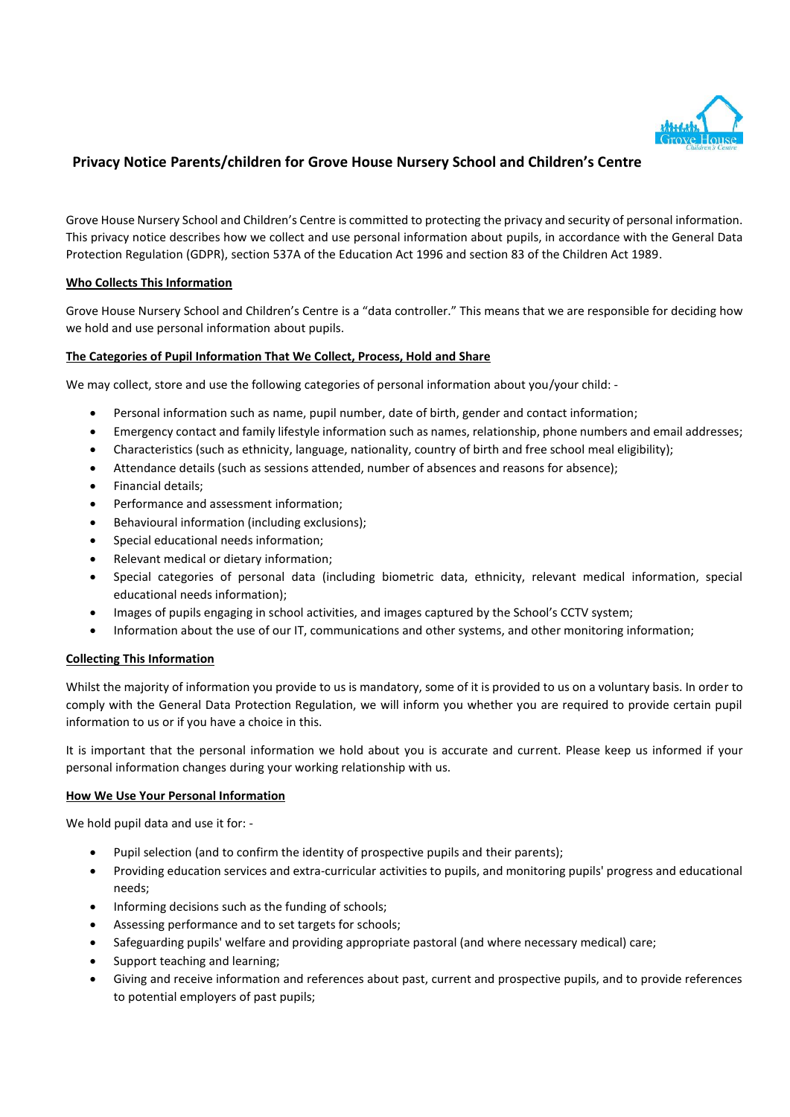

# **Privacy Notice Parents/children for Grove House Nursery School and Children's Centre**

Grove House Nursery School and Children's Centre is committed to protecting the privacy and security of personal information. This privacy notice describes how we collect and use personal information about pupils, in accordance with the General Data Protection Regulation (GDPR), section 537A of the Education Act 1996 and section 83 of the Children Act 1989.

# **Who Collects This Information**

Grove House Nursery School and Children's Centre is a "data controller." This means that we are responsible for deciding how we hold and use personal information about pupils.

# **The Categories of Pupil Information That We Collect, Process, Hold and Share**

We may collect, store and use the following categories of personal information about you/your child: -

- Personal information such as name, pupil number, date of birth, gender and contact information;
- Emergency contact and family lifestyle information such as names, relationship, phone numbers and email addresses;
- Characteristics (such as ethnicity, language, nationality, country of birth and free school meal eligibility);
- Attendance details (such as sessions attended, number of absences and reasons for absence);
- Financial details;
- Performance and assessment information;
- Behavioural information (including exclusions);
- Special educational needs information;
- Relevant medical or dietary information;
- Special categories of personal data (including biometric data, ethnicity, relevant medical information, special educational needs information);
- Images of pupils engaging in school activities, and images captured by the School's CCTV system;
- Information about the use of our IT, communications and other systems, and other monitoring information;

## **Collecting This Information**

Whilst the majority of information you provide to us is mandatory, some of it is provided to us on a voluntary basis. In order to comply with the General Data Protection Regulation, we will inform you whether you are required to provide certain pupil information to us or if you have a choice in this.

It is important that the personal information we hold about you is accurate and current. Please keep us informed if your personal information changes during your working relationship with us.

## **How We Use Your Personal Information**

We hold pupil data and use it for: -

- Pupil selection (and to confirm the identity of prospective pupils and their parents);
- Providing education services and extra-curricular activities to pupils, and monitoring pupils' progress and educational needs;
- Informing decisions such as the funding of schools;
- Assessing performance and to set targets for schools;
- Safeguarding pupils' welfare and providing appropriate pastoral (and where necessary medical) care;
- Support teaching and learning;
- Giving and receive information and references about past, current and prospective pupils, and to provide references to potential employers of past pupils;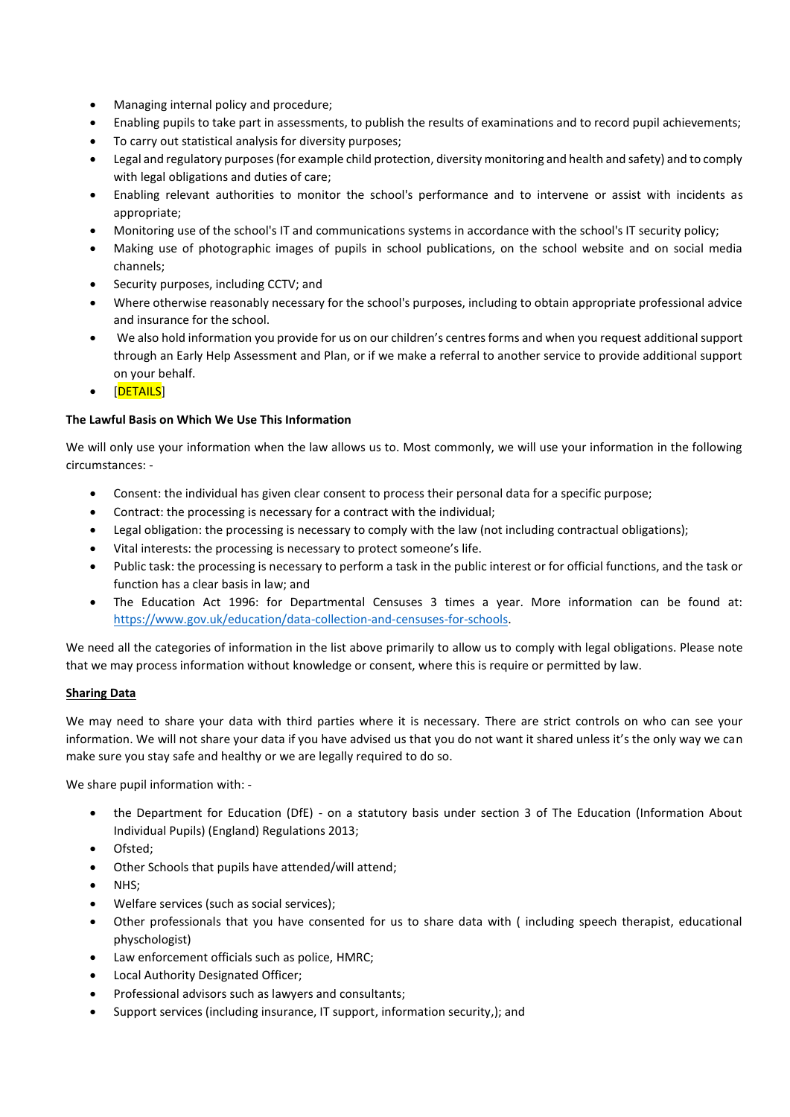- Managing internal policy and procedure;
- Enabling pupils to take part in assessments, to publish the results of examinations and to record pupil achievements;
- To carry out statistical analysis for diversity purposes;
- Legal and regulatory purposes (for example child protection, diversity monitoring and health and safety) and to comply with legal obligations and duties of care;
- Enabling relevant authorities to monitor the school's performance and to intervene or assist with incidents as appropriate;
- Monitoring use of the school's IT and communications systems in accordance with the school's IT security policy;
- Making use of photographic images of pupils in school publications, on the school website and on social media channels;
- Security purposes, including CCTV; and
- Where otherwise reasonably necessary for the school's purposes, including to obtain appropriate professional advice and insurance for the school.
- We also hold information you provide for us on our children's centres forms and when you request additional support through an Early Help Assessment and Plan, or if we make a referral to another service to provide additional support on your behalf.
- [DETAILS]

## **The Lawful Basis on Which We Use This Information**

We will only use your information when the law allows us to. Most commonly, we will use your information in the following circumstances: -

- Consent: the individual has given clear consent to process their personal data for a specific purpose;
- Contract: the processing is necessary for a contract with the individual;
- Legal obligation: the processing is necessary to comply with the law (not including contractual obligations);
- Vital interests: the processing is necessary to protect someone's life.
- Public task: the processing is necessary to perform a task in the public interest or for official functions, and the task or function has a clear basis in law; and
- The Education Act 1996: for Departmental Censuses 3 times a year. More information can be found at: [https://www.gov.uk/education/data-collection-and-censuses-for-schools.](https://www.gov.uk/education/data-collection-and-censuses-for-schools)

We need all the categories of information in the list above primarily to allow us to comply with legal obligations. Please note that we may process information without knowledge or consent, where this is require or permitted by law.

## **Sharing Data**

We may need to share your data with third parties where it is necessary. There are strict controls on who can see your information. We will not share your data if you have advised us that you do not want it shared unless it's the only way we can make sure you stay safe and healthy or we are legally required to do so.

We share pupil information with: -

- the Department for Education (DfE) on a statutory basis under section 3 of The Education (Information About Individual Pupils) (England) Regulations 2013;
- Ofsted;
- Other Schools that pupils have attended/will attend;
- NHS;
- Welfare services (such as social services);
- Other professionals that you have consented for us to share data with ( including speech therapist, educational physchologist)
- Law enforcement officials such as police, HMRC;
- Local Authority Designated Officer;
- Professional advisors such as lawyers and consultants;
- Support services (including insurance, IT support, information security,); and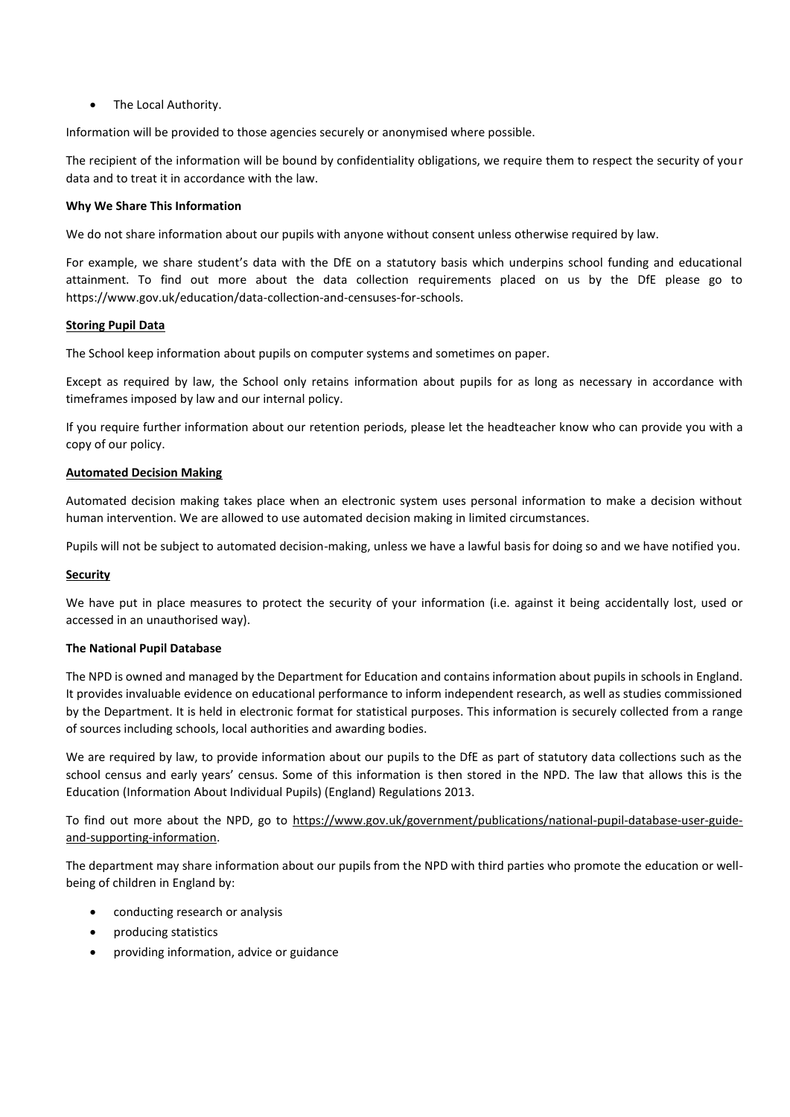• The Local Authority.

Information will be provided to those agencies securely or anonymised where possible.

The recipient of the information will be bound by confidentiality obligations, we require them to respect the security of your data and to treat it in accordance with the law.

#### **Why We Share This Information**

We do not share information about our pupils with anyone without consent unless otherwise required by law.

For example, we share student's data with the DfE on a statutory basis which underpins school funding and educational attainment. To find out more about the data collection requirements placed on us by the DfE please go to https://www.gov.uk/education/data-collection-and-censuses-for-schools.

#### **Storing Pupil Data**

The School keep information about pupils on computer systems and sometimes on paper.

Except as required by law, the School only retains information about pupils for as long as necessary in accordance with timeframes imposed by law and our internal policy.

If you require further information about our retention periods, please let the headteacher know who can provide you with a copy of our policy.

## **Automated Decision Making**

Automated decision making takes place when an electronic system uses personal information to make a decision without human intervention. We are allowed to use automated decision making in limited circumstances.

Pupils will not be subject to automated decision-making, unless we have a lawful basis for doing so and we have notified you.

## **Security**

We have put in place measures to protect the security of your information (i.e. against it being accidentally lost, used or accessed in an unauthorised way).

## **The National Pupil Database**

The NPD is owned and managed by the Department for Education and contains information about pupils in schools in England. It provides invaluable evidence on educational performance to inform independent research, as well as studies commissioned by the Department. It is held in electronic format for statistical purposes. This information is securely collected from a range of sources including schools, local authorities and awarding bodies.

We are required by law, to provide information about our pupils to the DfE as part of statutory data collections such as the school census and early years' census. Some of this information is then stored in the NPD. The law that allows this is the Education (Information About Individual Pupils) (England) Regulations 2013.

To find out more about the NPD, go to [https://www.gov.uk/government/publications/national-pupil-database-user-guide](https://www.gov.uk/government/publications/national-pupil-database-user-guide-and-supporting-information)[and-supporting-information.](https://www.gov.uk/government/publications/national-pupil-database-user-guide-and-supporting-information)

The department may share information about our pupils from the NPD with third parties who promote the education or wellbeing of children in England by:

- conducting research or analysis
- producing statistics
- providing information, advice or guidance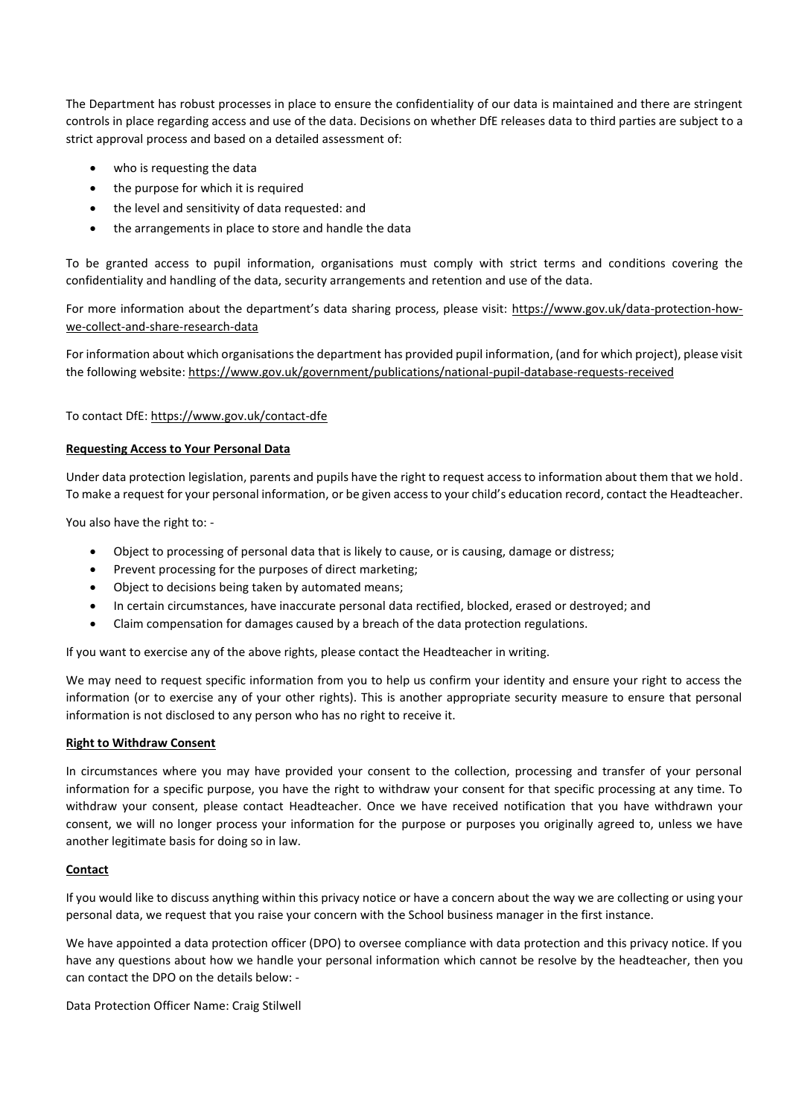The Department has robust processes in place to ensure the confidentiality of our data is maintained and there are stringent controls in place regarding access and use of the data. Decisions on whether DfE releases data to third parties are subject to a strict approval process and based on a detailed assessment of:

- who is requesting the data
- the purpose for which it is required
- the level and sensitivity of data requested: and
- the arrangements in place to store and handle the data

To be granted access to pupil information, organisations must comply with strict terms and conditions covering the confidentiality and handling of the data, security arrangements and retention and use of the data.

For more information about the department's data sharing process, please visit: [https://www.gov.uk/data-protection-how](https://www.gov.uk/data-protection-how-we-collect-and-share-research-data)[we-collect-and-share-research-data](https://www.gov.uk/data-protection-how-we-collect-and-share-research-data)

For information about which organisations the department has provided pupil information, (and for which project), please visit the following website:<https://www.gov.uk/government/publications/national-pupil-database-requests-received>

## To contact DfE:<https://www.gov.uk/contact-dfe>

#### **Requesting Access to Your Personal Data**

Under data protection legislation, parents and pupils have the right to request access to information about them that we hold. To make a request for your personal information, or be given access to your child's education record, contact the Headteacher.

You also have the right to: -

- Object to processing of personal data that is likely to cause, or is causing, damage or distress;
- Prevent processing for the purposes of direct marketing;
- Object to decisions being taken by automated means;
- In certain circumstances, have inaccurate personal data rectified, blocked, erased or destroyed; and
- Claim compensation for damages caused by a breach of the data protection regulations.

If you want to exercise any of the above rights, please contact the Headteacher in writing.

We may need to request specific information from you to help us confirm your identity and ensure your right to access the information (or to exercise any of your other rights). This is another appropriate security measure to ensure that personal information is not disclosed to any person who has no right to receive it.

#### **Right to Withdraw Consent**

In circumstances where you may have provided your consent to the collection, processing and transfer of your personal information for a specific purpose, you have the right to withdraw your consent for that specific processing at any time. To withdraw your consent, please contact Headteacher. Once we have received notification that you have withdrawn your consent, we will no longer process your information for the purpose or purposes you originally agreed to, unless we have another legitimate basis for doing so in law.

## **Contact**

If you would like to discuss anything within this privacy notice or have a concern about the way we are collecting or using your personal data, we request that you raise your concern with the School business manager in the first instance.

We have appointed a data protection officer (DPO) to oversee compliance with data protection and this privacy notice. If you have any questions about how we handle your personal information which cannot be resolve by the headteacher, then you can contact the DPO on the details below: -

Data Protection Officer Name: Craig Stilwell